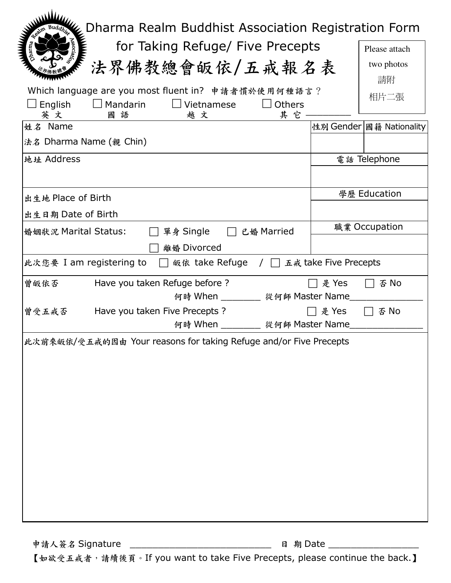| Dharma Realm Buddhist Association Registration Form                                                                                                     |  |                          |
|---------------------------------------------------------------------------------------------------------------------------------------------------------|--|--------------------------|
| <b>WANNAMY</b><br>for Taking Refuge/ Five Precepts                                                                                                      |  | Please attach            |
| 法界佛教總會皈依/五戒報名表                                                                                                                                          |  | two photos<br>請附         |
| Which language are you most fluent in? 申請者慣於使用何種語言?<br>$\Box$ English<br>$\Box$ Mandarin<br>$\Box$ Vietnamese<br>$\Box$ Others<br>英文<br>其它<br>國 語<br>越文 |  | 相片二張                     |
| 姓名 Name                                                                                                                                                 |  | 性別 Gender 國籍 Nationality |
| 法名 Dharma Name (親 Chin)                                                                                                                                 |  |                          |
| 地址 Address                                                                                                                                              |  | 電話 Telephone             |
|                                                                                                                                                         |  |                          |
| 出生地 Place of Birth                                                                                                                                      |  | 學歷 Education             |
| 出生日期 Date of Birth                                                                                                                                      |  |                          |
| 單身 Single<br>已婚 Married<br>婚姻狀況 Marital Status:                                                                                                         |  | 職業 Occupation            |
| 離婚 Divorced                                                                                                                                             |  |                          |
| 此次您要 I am registering to □<br>皈依 take Refuge / □ 五戒 take Five Precepts                                                                                  |  |                          |
| Have you taken Refuge before ?<br>$\Box$ 是 Yes<br>否No<br>曾皈依否<br>何時 When _______ 從何師 Master Name                                                        |  |                          |
| Have you taken Five Precepts ?<br>曾受五戒否<br>是 Yes<br>否No<br>何時 When _______ 從何師 Master Name                                                              |  |                          |
| 此次前來皈依/受五戒的因由 Your reasons for taking Refuge and/or Five Precepts                                                                                       |  |                          |

申請人簽名 Signature \_\_\_\_\_\_\_\_\_\_\_\_\_\_\_\_\_\_\_\_\_\_\_\_\_ 日 期 Date \_\_\_\_\_\_\_\_\_\_\_\_\_\_\_\_ 【如欲受五戒者,請續後頁。If you want to take Five Precepts, please continue the back.】